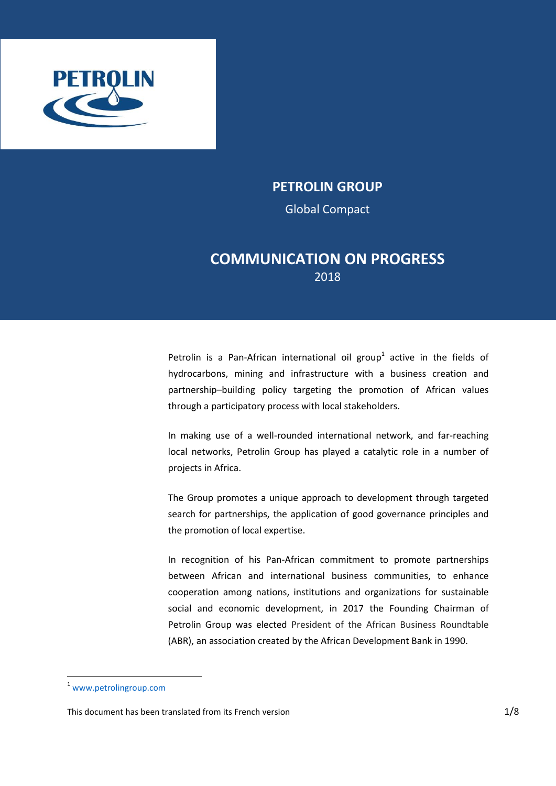

*Petrolin Group | 2018 Communication on progress - Global Compact*

## **PETROLIN GROUP**

Global Compact

# **COMMUNICATION ON PROGRESS** 2018

Petrolin is a Pan-African international oil group<sup>1</sup> active in the fields of hydrocarbons, mining and infrastructure with a business creation and partnership–building policy targeting the promotion of African values through a participatory process with local stakeholders.

In making use of a well-rounded international network, and far-reaching local networks, Petrolin Group has played a catalytic role in a number of projects in Africa.

The Group promotes a unique approach to development through targeted search for partnerships, the application of good governance principles and the promotion of local expertise.

In recognition of his Pan-African commitment to promote partnerships between African and international business communities, to enhance cooperation among nations, institutions and organizations for sustainable social and economic development, in 2017 the Founding Chairman of Petrolin Group was elected President of the African Business Roundtable (ABR), an association created by the African Development Bank in 1990.

 $\overline{a}$ 

<sup>1</sup> www.petrolingroup.com

This document has been translated from its French version 11/8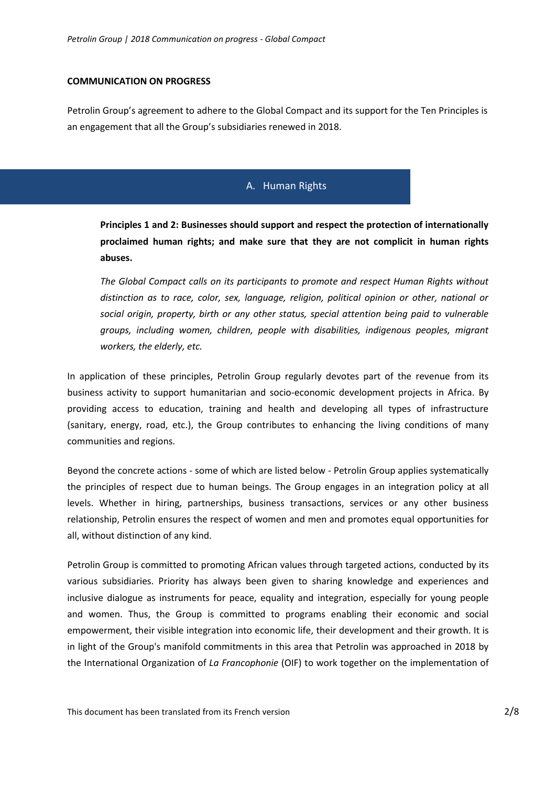#### **COMMUNICATION ON PROGRESS**

Petrolin Group's agreement to adhere to the Global Compact and its support for the Ten Principles is an engagement that all the Group's subsidiaries renewed in 2018.

### A. Human Rights

**[Principles 1](https://www.unglobalcompact.org/what-is-gc/mission/principles/principle-1) and 2: Businesses should support and respect the protection of internationally proclaimed human rights; and make sure that they are not complicit in human rights abuses.**

*The Global Compact calls on its participants to promote and respect Human Rights without distinction as to race, color, sex, language, religion, political opinion or other, national or social origin, property, birth or any other status, special attention being paid to vulnerable groups, including women, children, people with disabilities, indigenous peoples, migrant workers, the elderly, etc.*

In application of these principles, Petrolin Group regularly devotes part of the revenue from its business activity to support humanitarian and socio-economic development projects in Africa. By providing access to education, training and health and developing all types of infrastructure (sanitary, energy, road, etc.), the Group contributes to enhancing the living conditions of many communities and regions.

Beyond the concrete actions - some of which are listed below - Petrolin Group applies systematically the principles of respect due to human beings. The Group engages in an integration policy at all levels. Whether in hiring, partnerships, business transactions, services or any other business relationship, Petrolin ensures the respect of women and men and promotes equal opportunities for all, without distinction of any kind.

Petrolin Group is committed to promoting African values through targeted actions, conducted by its various subsidiaries. Priority has always been given to sharing knowledge and experiences and inclusive dialogue as instruments for peace, equality and integration, especially for young people and women. Thus, the Group is committed to programs enabling their economic and social empowerment, their visible integration into economic life, their development and their growth. It is in light of the Group's manifold commitments in this area that Petrolin was approached in 2018 by the International Organization of *La Francophonie* (OIF) to work together on the implementation of

This document has been translated from its French version 2/8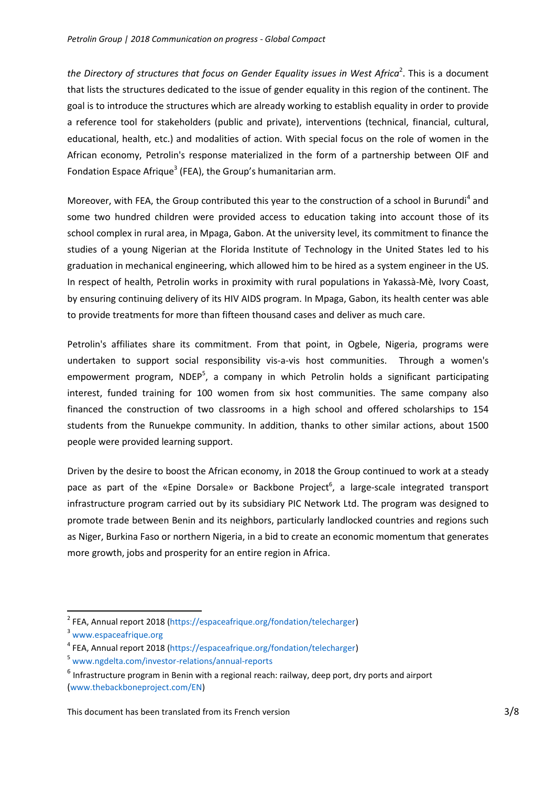the Directory of structures that focus on Gender Equality *issues in West Africa*<sup>2</sup>. This is a document that lists the structures dedicated to the issue of gender equality in this region of the continent. The goal is to introduce the structures which are already working to establish equality in order to provide a reference tool for stakeholders (public and private), interventions (technical, financial, cultural, educational, health, etc.) and modalities of action. With special focus on the role of women in the African economy, Petrolin's response materialized in the form of a partnership between OIF and Fondation Espace Afrique<sup>3</sup> (FEA), the Group's humanitarian arm.

Moreover, with FEA, the Group contributed this year to the construction of a school in Burundi<sup>4</sup> and some two hundred children were provided access to education taking into account those of its school complex in rural area, in Mpaga, Gabon. At the university level, its commitment to finance the studies of a young Nigerian at the Florida Institute of Technology in the United States led to his graduation in mechanical engineering, which allowed him to be hired as a system engineer in the US. In respect of health, Petrolin works in proximity with rural populations in Yakassà-Mè, Ivory Coast, by ensuring continuing delivery of its HIV AIDS program. In Mpaga, Gabon, its health center was able to provide treatments for more than fifteen thousand cases and deliver as much care.

Petrolin's affiliates share its commitment. From that point, in Ogbele, Nigeria, programs were undertaken to support social responsibility vis-a-vis host communities. Through a women's empowerment program, NDEP<sup>5</sup>, a company in which Petrolin holds a significant participating interest, funded training for 100 women from six host communities. The same company also financed the construction of two classrooms in a high school and offered scholarships to 154 students from the Runuekpe community. In addition, thanks to other similar actions, about 1500 people were provided learning support.

Driven by the desire to boost the African economy, in 2018 the Group continued to work at a steady pace as part of the «Epine Dorsale» or Backbone Project<sup>6</sup>, a large-scale integrated transport infrastructure program carried out by its subsidiary PIC Network Ltd. The program was designed to promote trade between Benin and its neighbors, particularly landlocked countries and regions such as Niger, Burkina Faso or northern Nigeria, in a bid to create an economic momentum that generates more growth, jobs and prosperity for an entire region in Africa.

**.** 

<sup>&</sup>lt;sup>2</sup> FEA, Annual report 2018 (https://espaceafrique.org/fondation/telecharger)

<sup>&</sup>lt;sup>3</sup> www.espaceafrique.org

<sup>&</sup>lt;sup>4</sup> FEA, Annual report 2018 (https://espaceafrique.org/fondation/telecharger)

<sup>5</sup> www.ngdelta.com/investor-relations/annual-reports

 $<sup>6</sup>$  Infrastructure program in Benin with a regional reach: railway, deep port, dry ports and airport</sup> (www.thebackboneproject.com/EN)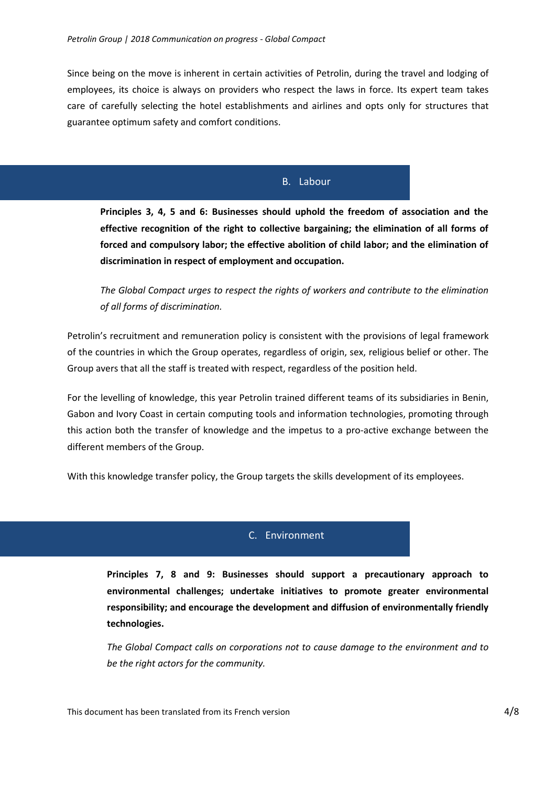Since being on the move is inherent in certain activities of Petrolin, during the travel and lodging of employees, its choice is always on providers who respect the laws in force. Its expert team takes care of carefully selecting the hotel establishments and airlines and opts only for structures that guarantee optimum safety and comfort conditions.

### B. Labour

**[Principles 3,](https://www.unglobalcompact.org/what-is-gc/mission/principles/principle-3) 4, 5 and 6: Businesses should uphold the freedom of association and the effective recognition of the right to collective bargaining; the elimination of all forms of forced and compulsory labor; the effective abolition of child labor; and the elimination of discrimination in respect of employment and occupation.**

*The Global Compact urges to respect the rights of workers and contribute to the elimination of all forms of discrimination.* 

Petrolin's recruitment and remuneration policy is consistent with the provisions of legal framework of the countries in which the Group operates, regardless of origin, sex, religious belief or other. The Group avers that all the staff is treated with respect, regardless of the position held.

For the levelling of knowledge, this year Petrolin trained different teams of its subsidiaries in Benin, Gabon and Ivory Coast in certain computing tools and information technologies, promoting through this action both the transfer of knowledge and the impetus to a pro-active exchange between the different members of the Group.

With this knowledge transfer policy, the Group targets the skills development of its employees.

#### C. Environment

**[Principles 7,](https://www.unglobalcompact.org/what-is-gc/mission/principles/principle-7) 8 and 9: Businesses should support a precautionary approach to environmental challenges; undertake initiatives to promote greater environmental responsibility; and encourage the development and diffusion of environmentally friendly technologies.**

*The Global Compact calls on corporations not to cause damage to the environment and to be the right actors for the community.*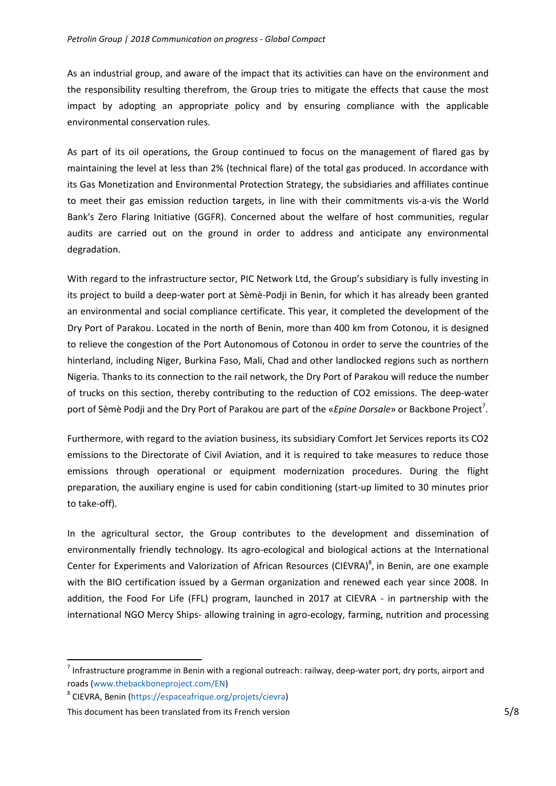As an industrial group, and aware of the impact that its activities can have on the environment and the responsibility resulting therefrom, the Group tries to mitigate the effects that cause the most impact by adopting an appropriate policy and by ensuring compliance with the applicable environmental conservation rules.

As part of its oil operations, the Group continued to focus on the management of flared gas by maintaining the level at less than 2% (technical flare) of the total gas produced. In accordance with its Gas Monetization and Environmental Protection Strategy, the subsidiaries and affiliates continue to meet their gas emission reduction targets, in line with their commitments vis-a-vis the World Bank's Zero Flaring Initiative (GGFR). Concerned about the welfare of host communities, regular audits are carried out on the ground in order to address and anticipate any environmental degradation.

With regard to the infrastructure sector, PIC Network Ltd, the Group's subsidiary is fully investing in its project to build a deep-water port at Sèmè-Podji in Benin, for which it has already been granted an environmental and social compliance certificate. This year, it completed the development of the Dry Port of Parakou. Located in the north of Benin, more than 400 km from Cotonou, it is designed to relieve the congestion of the Port Autonomous of Cotonou in order to serve the countries of the hinterland, including Niger, Burkina Faso, Mali, Chad and other landlocked regions such as northern Nigeria. Thanks to its connection to the rail network, the Dry Port of Parakou will reduce the number of trucks on this section, thereby contributing to the reduction of CO2 emissions. The deep-water port of Sèmè Podji and the Dry Port of Parakou are part of the «*Epine Dorsale*» or Backbone Project<sup>7</sup>.

Furthermore, with regard to the aviation business, its subsidiary Comfort Jet Services reports its CO2 emissions to the Directorate of Civil Aviation, and it is required to take measures to reduce those emissions through operational or equipment modernization procedures. During the flight preparation, the auxiliary engine is used for cabin conditioning (start-up limited to 30 minutes prior to take-off).

In the agricultural sector, the Group contributes to the development and dissemination of environmentally friendly technology. Its agro-ecological and biological actions at the International Center for Experiments and Valorization of African Resources (CIEVRA)<sup>8</sup>, in Benin, are one example with the BIO certification issued by a German organization and renewed each year since 2008. In addition, the Food For Life (FFL) program, launched in 2017 at CIEVRA - in partnership with the international NGO Mercy Ships- allowing training in agro-ecology, farming, nutrition and processing

**.** 

 $^7$  Infrastructure programme in Benin with a regional outreach: railway, deep-water port, dry ports, airport and roads (www.thebackboneproject.com/EN)

<sup>8</sup> CIEVRA, Benin (https://espaceafrique.org/projets/cievra)

This document has been translated from its French version 5/8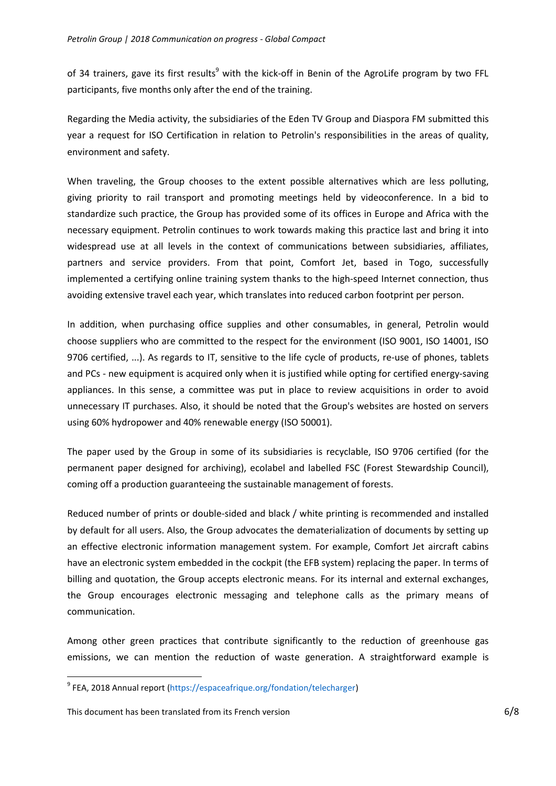of 34 trainers, gave its first results<sup>9</sup> with the kick-off in Benin of the AgroLife program by two FFL participants, five months only after the end of the training.

Regarding the Media activity, the subsidiaries of the Eden TV Group and Diaspora FM submitted this year a request for ISO Certification in relation to Petrolin's responsibilities in the areas of quality, environment and safety.

When traveling, the Group chooses to the extent possible alternatives which are less polluting, giving priority to rail transport and promoting meetings held by videoconference. In a bid to standardize such practice, the Group has provided some of its offices in Europe and Africa with the necessary equipment. Petrolin continues to work towards making this practice last and bring it into widespread use at all levels in the context of communications between subsidiaries, affiliates, partners and service providers. From that point, Comfort Jet, based in Togo, successfully implemented a certifying online training system thanks to the high-speed Internet connection, thus avoiding extensive travel each year, which translates into reduced carbon footprint per person.

In addition, when purchasing office supplies and other consumables, in general, Petrolin would choose suppliers who are committed to the respect for the environment (ISO 9001, ISO 14001, ISO 9706 certified, ...). As regards to IT, sensitive to the life cycle of products, re-use of phones, tablets and PCs - new equipment is acquired only when it is justified while opting for certified energy-saving appliances. In this sense, a committee was put in place to review acquisitions in order to avoid unnecessary IT purchases. Also, it should be noted that the Group's websites are hosted on servers using 60% hydropower and 40% renewable energy (ISO 50001).

The paper used by the Group in some of its subsidiaries is recyclable, ISO 9706 certified (for the permanent paper designed for archiving), ecolabel and labelled FSC (Forest Stewardship Council), coming off a production guaranteeing the sustainable management of forests.

Reduced number of prints or double-sided and black / white printing is recommended and installed by default for all users. Also, the Group advocates the dematerialization of documents by setting up an effective electronic information management system. For example, Comfort Jet aircraft cabins have an electronic system embedded in the cockpit (the EFB system) replacing the paper. In terms of billing and quotation, the Group accepts electronic means. For its internal and external exchanges, the Group encourages electronic messaging and telephone calls as the primary means of communication.

Among other green practices that contribute significantly to the reduction of greenhouse gas emissions, we can mention the reduction of waste generation. A straightforward example is

 $\overline{a}$ 

<sup>&</sup>lt;sup>9</sup> FEA, 2018 Annual report (https://espaceafrique.org/fondation/telecharger)

This document has been translated from its French version 6/8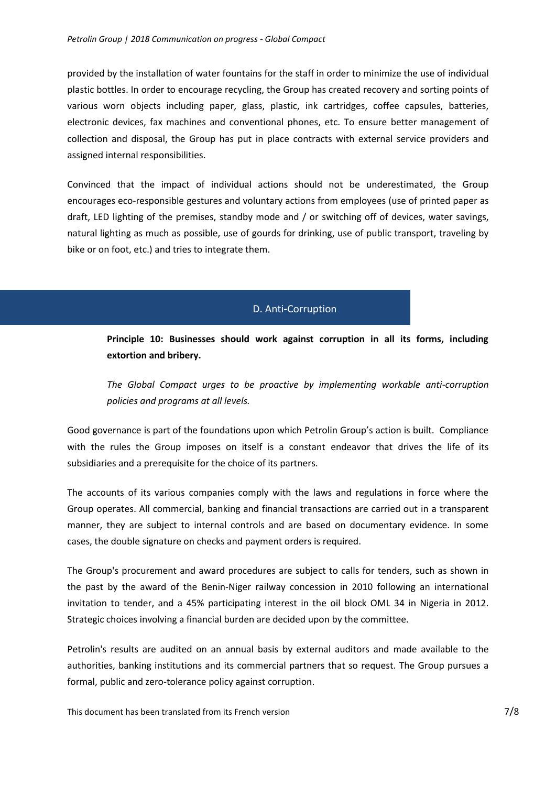provided by the installation of water fountains for the staff in order to minimize the use of individual plastic bottles. In order to encourage recycling, the Group has created recovery and sorting points of various worn objects including paper, glass, plastic, ink cartridges, coffee capsules, batteries, electronic devices, fax machines and conventional phones, etc. To ensure better management of collection and disposal, the Group has put in place contracts with external service providers and assigned internal responsibilities.

Convinced that the impact of individual actions should not be underestimated, the Group encourages eco-responsible gestures and voluntary actions from employees (use of printed paper as draft, LED lighting of the premises, standby mode and / or switching off of devices, water savings, natural lighting as much as possible, use of gourds for drinking, use of public transport, traveling by bike or on foot, etc.) and tries to integrate them.

### D. Anti**-**Corruption

**[Principle 10:](https://www.unglobalcompact.org/what-is-gc/mission/principles/principle-10) Businesses should work against corruption in all its forms, including extortion and bribery.**

*The Global Compact urges to be proactive by implementing workable anti-corruption policies and programs at all levels.*

Good governance is part of the foundations upon which Petrolin Group's action is built. Compliance with the rules the Group imposes on itself is a constant endeavor that drives the life of its subsidiaries and a prerequisite for the choice of its partners.

The accounts of its various companies comply with the laws and regulations in force where the Group operates. All commercial, banking and financial transactions are carried out in a transparent manner, they are subject to internal controls and are based on documentary evidence. In some cases, the double signature on checks and payment orders is required.

The Group's procurement and award procedures are subject to calls for tenders, such as shown in the past by the award of the Benin-Niger railway concession in 2010 following an international invitation to tender, and a 45% participating interest in the oil block OML 34 in Nigeria in 2012. Strategic choices involving a financial burden are decided upon by the committee.

Petrolin's results are audited on an annual basis by external auditors and made available to the authorities, banking institutions and its commercial partners that so request. The Group pursues a formal, public and zero-tolerance policy against corruption.

This document has been translated from its French version **718**